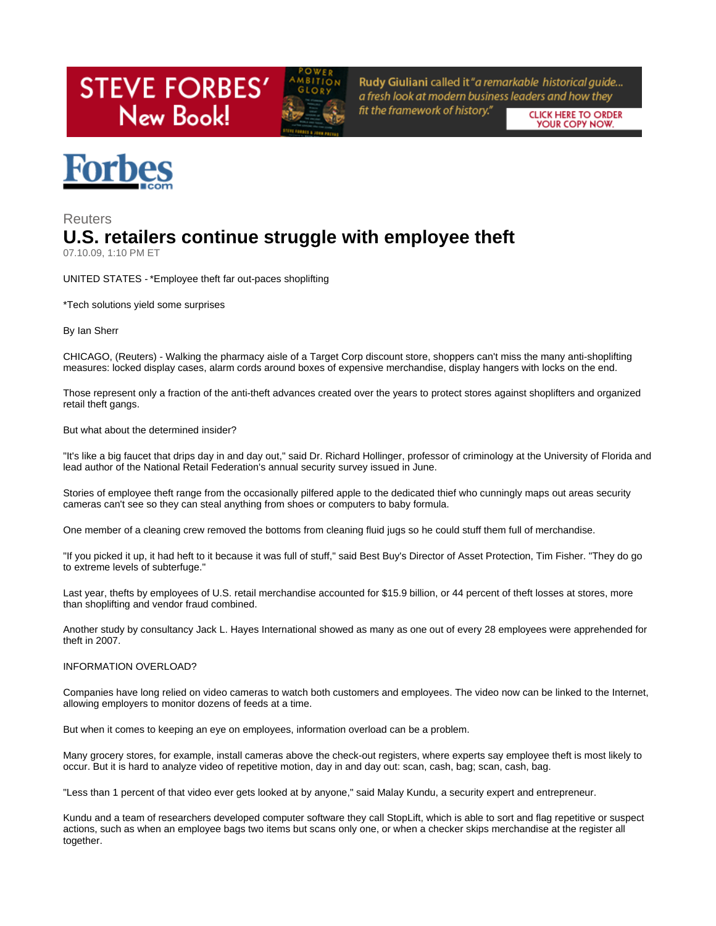## **STEVE FORBES' New Book!**



Rudy Giuliani called it "a remarkable historical guide... a fresh look at modern business leaders and how they fit the framework of history."

**CLICK HERE TO ORDER YOUR COPY NOW.** 



## **Reuters U.S. retailers continue struggle with employee theft**

07.10.09, 1:10 PM ET

UNITED STATES - \*Employee theft far out-paces shoplifting

\*Tech solutions yield some surprises

By Ian Sherr

CHICAGO, (Reuters) - Walking the pharmacy aisle of a Target Corp discount store, shoppers can't miss the many anti-shoplifting measures: locked display cases, alarm cords around boxes of expensive merchandise, display hangers with locks on the end.

Those represent only a fraction of the anti-theft advances created over the years to protect stores against shoplifters and organized retail theft gangs.

But what about the determined insider?

"It's like a big faucet that drips day in and day out," said Dr. Richard Hollinger, professor of criminology at the University of Florida and lead author of the National Retail Federation's annual security survey issued in June.

Stories of employee theft range from the occasionally pilfered apple to the dedicated thief who cunningly maps out areas security cameras can't see so they can steal anything from shoes or computers to baby formula.

One member of a cleaning crew removed the bottoms from cleaning fluid jugs so he could stuff them full of merchandise.

"If you picked it up, it had heft to it because it was full of stuff," said Best Buy's Director of Asset Protection, Tim Fisher. "They do go to extreme levels of subterfuge."

Last year, thefts by employees of U.S. retail merchandise accounted for \$15.9 billion, or 44 percent of theft losses at stores, more than shoplifting and vendor fraud combined.

Another study by consultancy Jack L. Hayes International showed as many as one out of every 28 employees were apprehended for theft in 2007.

## INFORMATION OVERLOAD?

Companies have long relied on video cameras to watch both customers and employees. The video now can be linked to the Internet, allowing employers to monitor dozens of feeds at a time.

But when it comes to keeping an eye on employees, information overload can be a problem.

Many grocery stores, for example, install cameras above the check-out registers, where experts say employee theft is most likely to occur. But it is hard to analyze video of repetitive motion, day in and day out: scan, cash, bag; scan, cash, bag.

"Less than 1 percent of that video ever gets looked at by anyone," said Malay Kundu, a security expert and entrepreneur.

Kundu and a team of researchers developed computer software they call StopLift, which is able to sort and flag repetitive or suspect actions, such as when an employee bags two items but scans only one, or when a checker skips merchandise at the register all together.